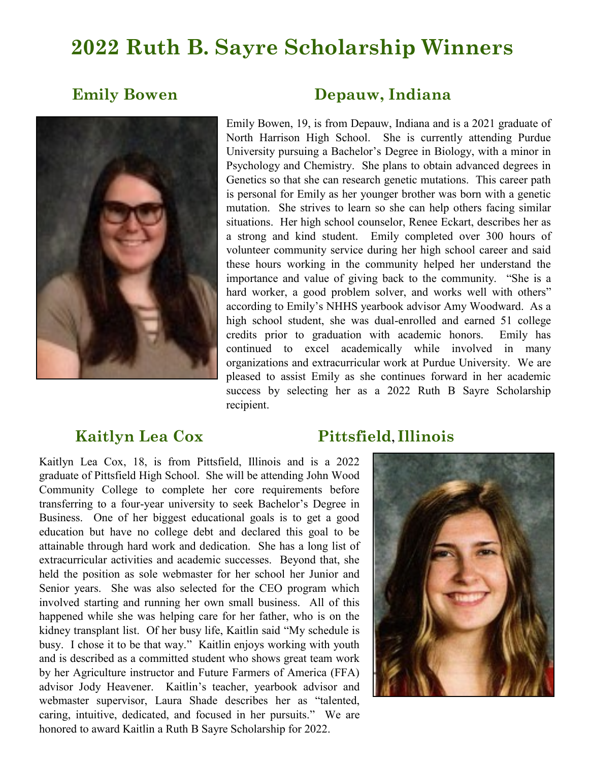# **2022 Ruth B. Sayre Scholarship Winners**



### **Emily Bowen Depauw, Indiana**

Emily Bowen, 19, is from Depauw, Indiana and is a 2021 graduate of North Harrison High School. She is currently attending Purdue University pursuing a Bachelor's Degree in Biology, with a minor in Psychology and Chemistry. She plans to obtain advanced degrees in Genetics so that she can research genetic mutations. This career path is personal for Emily as her younger brother was born with a genetic mutation. She strives to learn so she can help others facing similar situations. Her high school counselor, Renee Eckart, describes her as a strong and kind student. Emily completed over 300 hours of volunteer community service during her high school career and said these hours working in the community helped her understand the importance and value of giving back to the community. "She is a hard worker, a good problem solver, and works well with others" according to Emily's NHHS yearbook advisor Amy Woodward. As a high school student, she was dual-enrolled and earned 51 college credits prior to graduation with academic honors. Emily has continued to excel academically while involved in many organizations and extracurricular work at Purdue University. We are pleased to assist Emily as she continues forward in her academic success by selecting her as a 2022 Ruth B Sayre Scholarship recipient.

## **Kaitlyn Lea Cox Pittsfield, Illinois**

Kaitlyn Lea Cox, 18, is from Pittsfield, Illinois and is a 2022 graduate of Pittsfield High School. She will be attending John Wood Community College to complete her core requirements before transferring to a four-year university to seek Bachelor's Degree in Business. One of her biggest educational goals is to get a good education but have no college debt and declared this goal to be attainable through hard work and dedication. She has a long list of extracurricular activities and academic successes. Beyond that, she held the position as sole webmaster for her school her Junior and Senior years. She was also selected for the CEO program which involved starting and running her own small business. All of this happened while she was helping care for her father, who is on the kidney transplant list. Of her busy life, Kaitlin said "My schedule is busy. I chose it to be that way." Kaitlin enjoys working with youth and is described as a committed student who shows great team work by her Agriculture instructor and Future Farmers of America (FFA) advisor Jody Heavener. Kaitlin's teacher, yearbook advisor and webmaster supervisor, Laura Shade describes her as "talented, caring, intuitive, dedicated, and focused in her pursuits." We are honored to award Kaitlin a Ruth B Sayre Scholarship for 2022.